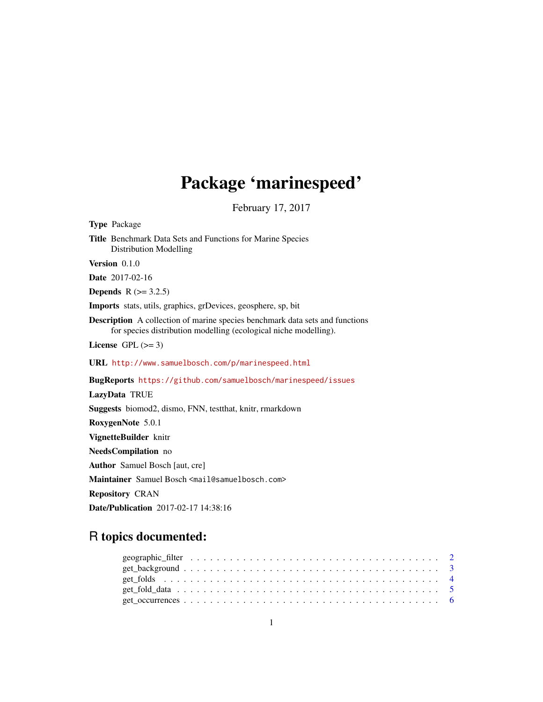# Package 'marinespeed'

February 17, 2017

<span id="page-0-0"></span>Type Package Title Benchmark Data Sets and Functions for Marine Species Distribution Modelling Version 0.1.0 Date 2017-02-16 **Depends**  $R$  ( $>= 3.2.5$ ) Imports stats, utils, graphics, grDevices, geosphere, sp, bit Description A collection of marine species benchmark data sets and functions for species distribution modelling (ecological niche modelling). License GPL  $(>= 3)$ URL <http://www.samuelbosch.com/p/marinespeed.html> BugReports <https://github.com/samuelbosch/marinespeed/issues> LazyData TRUE Suggests biomod2, dismo, FNN, testthat, knitr, rmarkdown RoxygenNote 5.0.1 VignetteBuilder knitr NeedsCompilation no

Author Samuel Bosch [aut, cre]

Maintainer Samuel Bosch <mail@samuelbosch.com>

Repository CRAN

Date/Publication 2017-02-17 14:38:16

# R topics documented: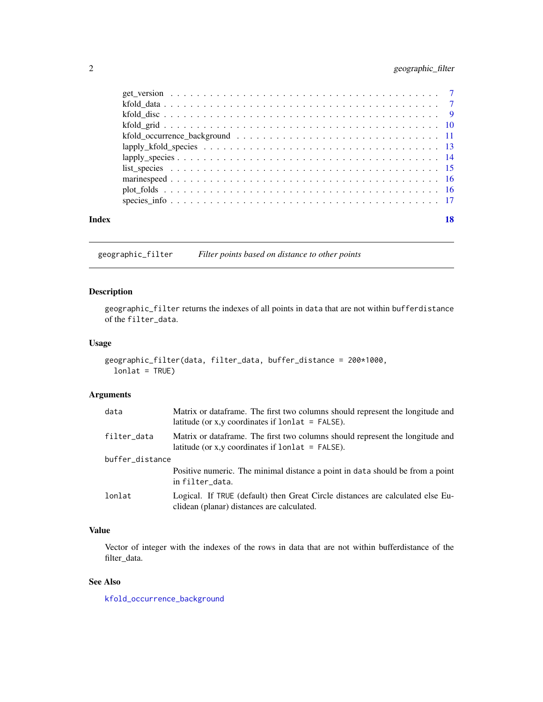# <span id="page-1-0"></span>2 geographic\_filter

| Index |  |
|-------|--|
|       |  |
|       |  |
|       |  |
|       |  |
|       |  |
|       |  |
|       |  |
|       |  |
|       |  |
|       |  |
|       |  |

<span id="page-1-1"></span>geographic\_filter *Filter points based on distance to other points*

# Description

geographic\_filter returns the indexes of all points in data that are not within bufferdistance of the filter\_data.

# Usage

```
geographic_filter(data, filter_data, buffer_distance = 200*1000,
  lonlat = TRUE)
```
# Arguments

| data            | Matrix or data frame. The first two columns should represent the longitude and<br>latitude (or x, y coordinates if $lonalat = FALSE$ ). |
|-----------------|-----------------------------------------------------------------------------------------------------------------------------------------|
| filter_data     | Matrix or data frame. The first two columns should represent the longitude and<br>latitude (or x, y coordinates if $lonlat = FALSE$ ).  |
| buffer_distance |                                                                                                                                         |
|                 | Positive numeric. The minimal distance a point in data should be from a point<br>in filter_data.                                        |
| lonlat          | Logical. If TRUE (default) then Great Circle distances are calculated else Eu-<br>clidean (planar) distances are calculated.            |

# Value

Vector of integer with the indexes of the rows in data that are not within bufferdistance of the filter\_data.

# See Also

[kfold\\_occurrence\\_background](#page-10-1)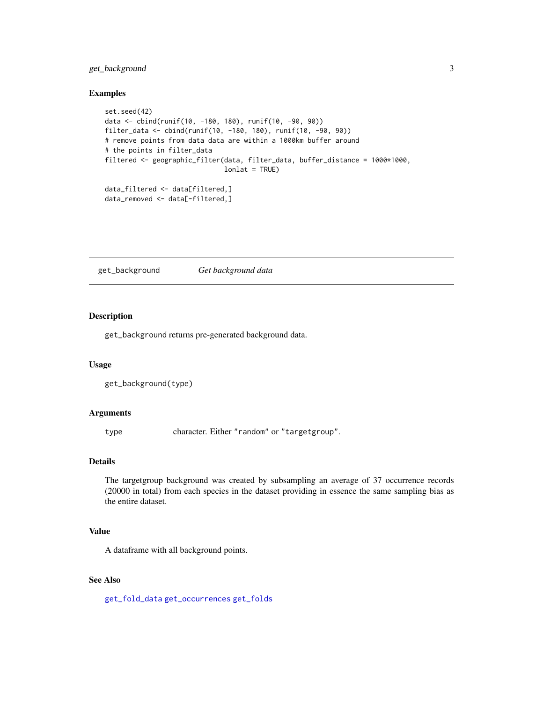# <span id="page-2-0"></span>get\_background 3

#### Examples

```
set.seed(42)
data <- cbind(runif(10, -180, 180), runif(10, -90, 90))
filter_data <- cbind(runif(10, -180, 180), runif(10, -90, 90))
# remove points from data data are within a 1000km buffer around
# the points in filter_data
filtered <- geographic_filter(data, filter_data, buffer_distance = 1000*1000,
                              lonlat = TRUE)
data_filtered <- data[filtered,]
data_removed <- data[-filtered,]
```
<span id="page-2-1"></span>get\_background *Get background data*

# Description

get\_background returns pre-generated background data.

#### Usage

```
get_background(type)
```
#### Arguments

type character. Either "random" or "targetgroup".

#### Details

The targetgroup background was created by subsampling an average of 37 occurrence records (20000 in total) from each species in the dataset providing in essence the same sampling bias as the entire dataset.

# Value

A dataframe with all background points.

# See Also

[get\\_fold\\_data](#page-4-1) [get\\_occurrences](#page-5-1) [get\\_folds](#page-3-1)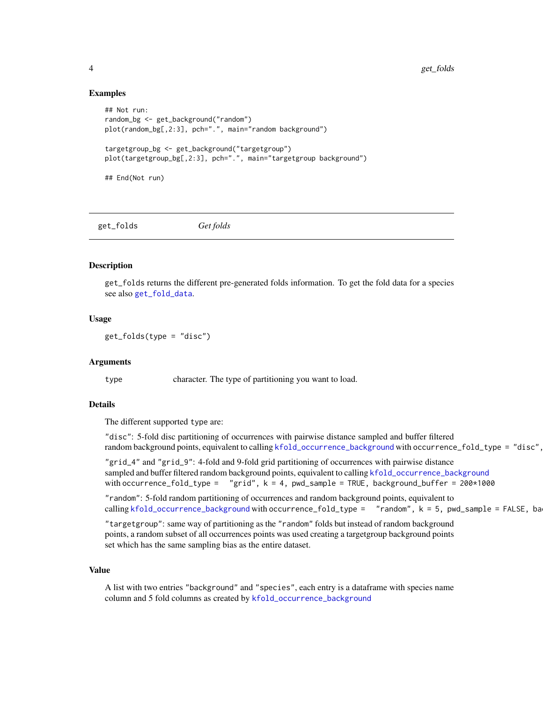#### Examples

```
## Not run:
random_bg <- get_background("random")
plot(random_bg[,2:3], pch=".", main="random background")
targetgroup_bg <- get_background("targetgroup")
plot(targetgroup_bg[,2:3], pch=".", main="targetgroup background")
## End(Not run)
```
<span id="page-3-1"></span>get\_folds *Get folds*

#### Description

get\_folds returns the different pre-generated folds information. To get the fold data for a species see also [get\\_fold\\_data](#page-4-1).

#### Usage

get\_folds(type = "disc")

#### Arguments

type character. The type of partitioning you want to load.

#### Details

The different supported type are:

```
"disc": 5-fold disc partitioning of occurrences with pairwise distance sampled and buffer filtered
kfold_occurrence_background with occurrence_fold_type = "disc",
```
"grid\_4" and "grid\_9": 4-fold and 9-fold grid partitioning of occurrences with pairwise distance sampled and buffer filtered random background points, equivalent to calling [kfold\\_occurrence\\_background](#page-10-1) with occurrence\_fold\_type =  $"grid", k = 4, pwd_sample = TRUE, background_buffer = 200*1000$ 

"random": 5-fold random partitioning of occurrences and random background points, equivalent to calling [kfold\\_occurrence\\_background](#page-10-1) with occurrence\_fold\_type = "random", k = 5, pwd\_sample = FALSE, ba

"targetgroup": same way of partitioning as the "random" folds but instead of random background points, a random subset of all occurrences points was used creating a targetgroup background points set which has the same sampling bias as the entire dataset.

# Value

A list with two entries "background" and "species", each entry is a dataframe with species name column and 5 fold columns as created by [kfold\\_occurrence\\_background](#page-10-1)

<span id="page-3-0"></span>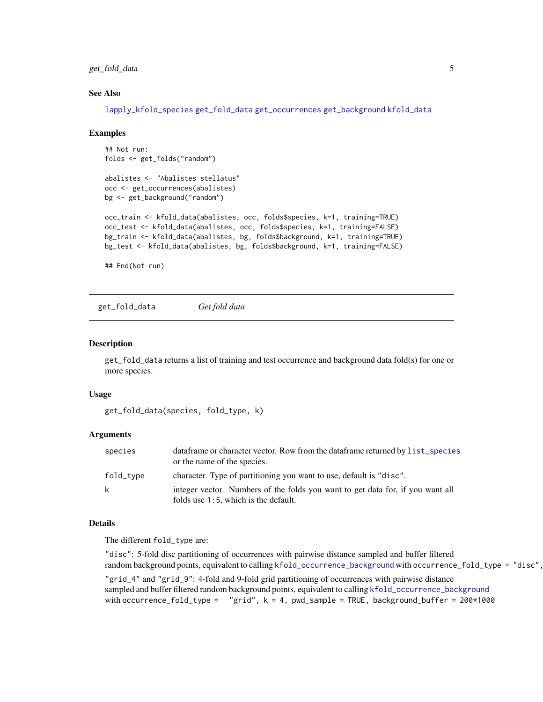# <span id="page-4-0"></span>get\_fold\_data 5

#### See Also

[lapply\\_kfold\\_species](#page-12-1) [get\\_fold\\_data](#page-4-1) [get\\_occurrences](#page-5-1) [get\\_background](#page-2-1) [kfold\\_data](#page-6-1)

#### Examples

```
## Not run:
folds <- get_folds("random")
```

```
abalistes <- "Abalistes stellatus"
occ <- get_occurrences(abalistes)
bg <- get_background("random")
```

```
occ_train <- kfold_data(abalistes, occ, folds$species, k=1, training=TRUE)
occ_test <- kfold_data(abalistes, occ, folds$species, k=1, training=FALSE)
bg_train <- kfold_data(abalistes, bg, folds$background, k=1, training=TRUE)
bg_test <- kfold_data(abalistes, bg, folds$background, k=1, training=FALSE)
```
## End(Not run)

<span id="page-4-1"></span>get\_fold\_data *Get fold data*

#### Description

get\_fold\_data returns a list of training and test occurrence and background data fold(s) for one or more species.

#### Usage

```
get_fold_data(species, fold_type, k)
```
#### Arguments

| species   | data frame or character vector. Row from the data frame returned by list_species<br>or the name of the species.        |
|-----------|------------------------------------------------------------------------------------------------------------------------|
| fold_type | character. Type of partitioning you want to use, default is "disc".                                                    |
| k         | integer vector. Numbers of the folds you want to get data for, if you want all<br>folds use 1:5, which is the default. |

#### Details

The different fold\_type are:

"disc": 5-fold disc partitioning of occurrences with pairwise distance sampled and buffer filtered random background points, equivalent to calling [kfold\\_occurrence\\_background](#page-10-1) with occurrence\_fold\_type = "disc",

"grid\_4" and "grid\_9": 4-fold and 9-fold grid partitioning of occurrences with pairwise distance sampled and buffer filtered random background points, equivalent to calling [kfold\\_occurrence\\_background](#page-10-1) with occurrence\_fold\_type =  $"grid", k = 4, pwd_sample = TRUE, background_buffer = 200*1000$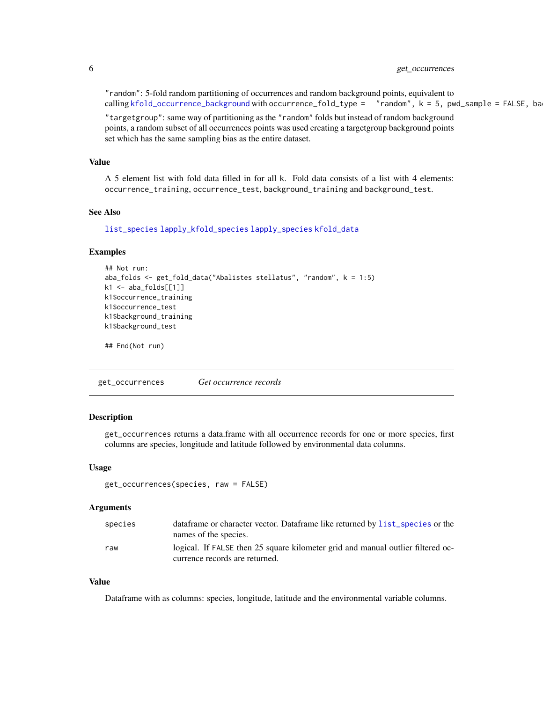# <span id="page-5-0"></span>6 get\_occurrences

"random": 5-fold random partitioning of occurrences and random background points, equivalent to calling [kfold\\_occurrence\\_background](#page-10-1) with occurrence\_fold\_type =  $"$ random",  $k = 5$ , pwd\_sample = FALSE, ba

"targetgroup": same way of partitioning as the "random" folds but instead of random background points, a random subset of all occurrences points was used creating a targetgroup background points set which has the same sampling bias as the entire dataset.

# Value

A 5 element list with fold data filled in for all k. Fold data consists of a list with 4 elements: occurrence\_training, occurrence\_test, background\_training and background\_test.

#### See Also

[list\\_species](#page-14-1) [lapply\\_kfold\\_species](#page-12-1) [lapply\\_species](#page-13-1) [kfold\\_data](#page-6-1)

#### Examples

```
## Not run:
aba_folds <- get_fold_data("Abalistes stellatus", "random", k = 1:5)
k1 <- aba_folds[[1]]
k1$occurrence_training
k1$occurrence_test
k1$background_training
k1$background_test
```
## End(Not run)

<span id="page-5-1"></span>get\_occurrences *Get occurrence records*

### Description

get\_occurrences returns a data.frame with all occurrence records for one or more species, first columns are species, longitude and latitude followed by environmental data columns.

#### Usage

```
get_occurrences(species, raw = FALSE)
```
#### Arguments

| species | data frame or character vector. Data frame like returned by list_species or the<br>names of the species.          |
|---------|-------------------------------------------------------------------------------------------------------------------|
| raw     | logical. If FALSE then 25 square kilometer grid and manual outlier filtered oc-<br>currence records are returned. |
|         |                                                                                                                   |

# Value

Dataframe with as columns: species, longitude, latitude and the environmental variable columns.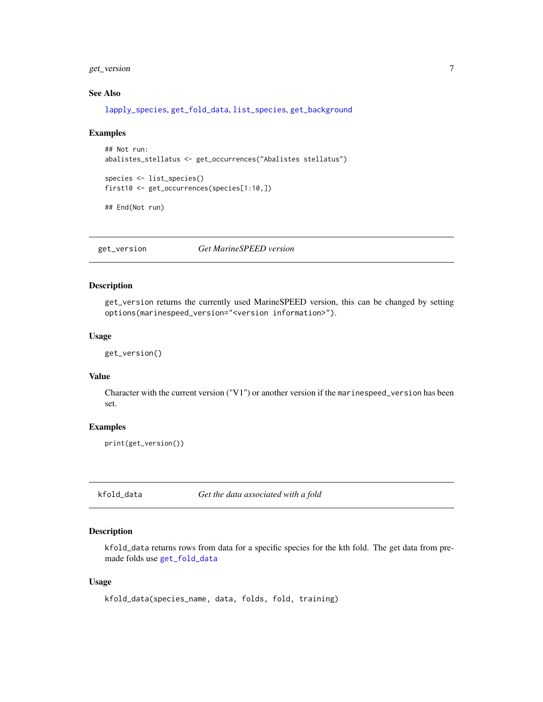<span id="page-6-0"></span>get\_version 7

# See Also

[lapply\\_species](#page-13-1), [get\\_fold\\_data](#page-4-1), [list\\_species](#page-14-1), [get\\_background](#page-2-1)

#### Examples

```
## Not run:
abalistes_stellatus <- get_occurrences("Abalistes stellatus")
species <- list_species()
first10 <- get_occurrences(species[1:10,])
## End(Not run)
```
get\_version *Get MarineSPEED version*

#### Description

get\_version returns the currently used MarineSPEED version, this can be changed by setting options(marinespeed\_version="<version information>").

# Usage

get\_version()

#### Value

Character with the current version ("V1") or another version if the marinespeed\_version has been set.

#### Examples

print(get\_version())

<span id="page-6-1"></span>kfold\_data *Get the data associated with a fold*

# Description

kfold\_data returns rows from data for a specific species for the kth fold. The get data from premade folds use [get\\_fold\\_data](#page-4-1)

#### Usage

kfold\_data(species\_name, data, folds, fold, training)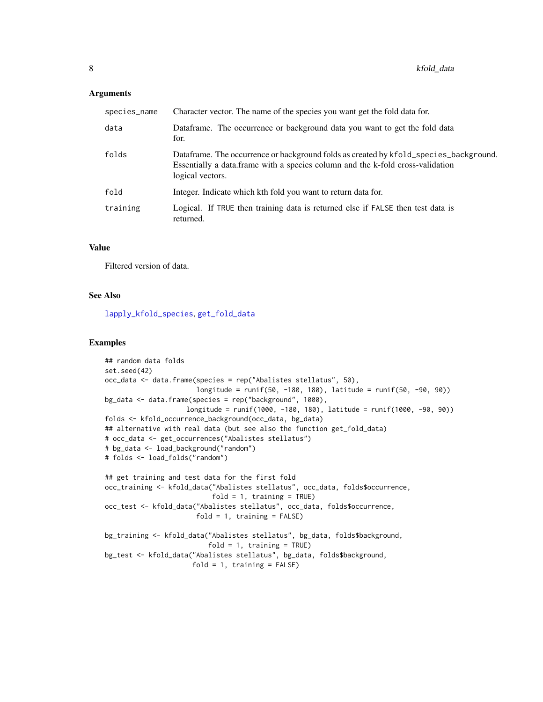#### <span id="page-7-0"></span>**Arguments**

| species_name | Character vector. The name of the species you want get the fold data for.                                                                                                                    |
|--------------|----------------------------------------------------------------------------------------------------------------------------------------------------------------------------------------------|
| data         | Dataframe. The occurrence or background data you want to get the fold data<br>for.                                                                                                           |
| folds        | Dataframe. The occurrence or background folds as created by kfold_species_background.<br>Essentially a data. frame with a species column and the k-fold cross-validation<br>logical vectors. |
| fold         | Integer. Indicate which kth fold you want to return data for.                                                                                                                                |
| training     | Logical. If TRUE then training data is returned else if FALSE then test data is<br>returned.                                                                                                 |

### Value

Filtered version of data.

#### See Also

[lapply\\_kfold\\_species](#page-12-1), [get\\_fold\\_data](#page-4-1)

```
## random data folds
set.seed(42)
occ_data <- data.frame(species = rep("Abalistes stellatus", 50),
                       longitude = runif(50, -180, 180), latitude = runif(50, -90, 90))
bg_data <- data.frame(species = rep("background", 1000),
                    longitude = runif(1000, -180, 180), latitude = runif(1000, -90, 90))
folds <- kfold_occurrence_background(occ_data, bg_data)
## alternative with real data (but see also the function get_fold_data)
# occ_data <- get_occurrences("Abalistes stellatus")
# bg_data <- load_background("random")
# folds <- load_folds("random")
## get training and test data for the first fold
occ_training <- kfold_data("Abalistes stellatus", occ_data, folds$occurrence,
                           fold = 1, training = TRUE)
occ_test <- kfold_data("Abalistes stellatus", occ_data, folds$occurrence,
                       fold = 1, training = FALSE)
bg_training <- kfold_data("Abalistes stellatus", bg_data, folds$background,
                          fold = 1, training = TRUE)
bg_test <- kfold_data("Abalistes stellatus", bg_data, folds$background,
                      fold = 1, training = FALSE)
```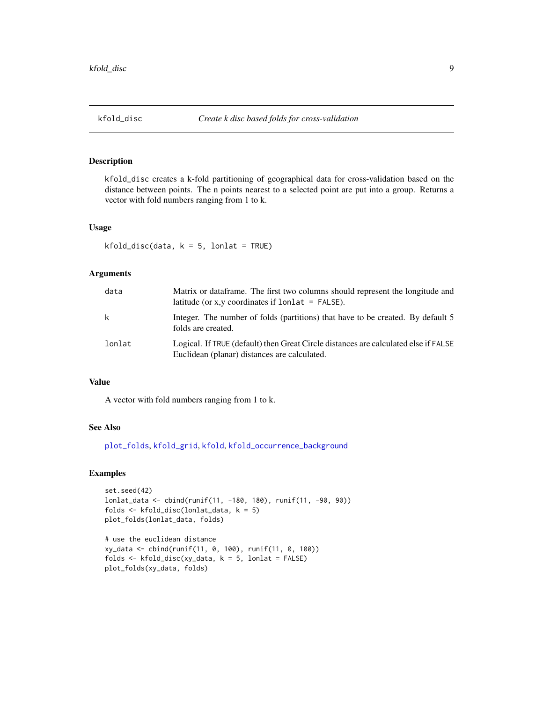# <span id="page-8-1"></span><span id="page-8-0"></span>Description

kfold\_disc creates a k-fold partitioning of geographical data for cross-validation based on the distance between points. The n points nearest to a selected point are put into a group. Returns a vector with fold numbers ranging from 1 to k.

#### Usage

```
kfold\_disc(data, k = 5, lonlat = TRUE)
```
# Arguments

| data   | Matrix or dataframe. The first two columns should represent the longitude and<br>latitude (or x, y coordinates if $lonalat = FALSE$ ). |
|--------|----------------------------------------------------------------------------------------------------------------------------------------|
| k      | Integer. The number of folds (partitions) that have to be created. By default 5<br>folds are created.                                  |
| lonlat | Logical. If TRUE (default) then Great Circle distances are calculated else if FALSE<br>Euclidean (planar) distances are calculated.    |

#### Value

A vector with fold numbers ranging from 1 to k.

#### See Also

[plot\\_folds](#page-15-1), [kfold\\_grid](#page-9-1), [kfold](#page-0-0), [kfold\\_occurrence\\_background](#page-10-1)

```
set.seed(42)
lonlat_data <- cbind(runif(11, -180, 180), runif(11, -90, 90))
folds <- kfold_disc(lonlat_data, k = 5)
plot_folds(lonlat_data, folds)
```

```
# use the euclidean distance
xy_data <- cbind(runif(11, 0, 100), runif(11, 0, 100))
folds \le kfold_disc(xy_data, k = 5, lonlat = FALSE)
plot_folds(xy_data, folds)
```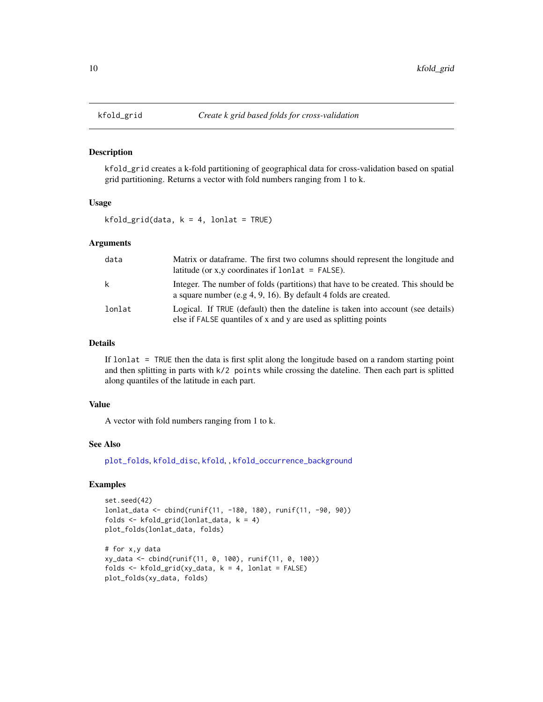#### Description

kfold\_grid creates a k-fold partitioning of geographical data for cross-validation based on spatial grid partitioning. Returns a vector with fold numbers ranging from 1 to k.

#### Usage

 $kfold\_grid(data, k = 4, lonlat = TRUE)$ 

# Arguments

| data   | Matrix or dataframe. The first two columns should represent the longitude and<br>latitude (or x, y coordinates if $lonlat = FALSE$ ).                |
|--------|------------------------------------------------------------------------------------------------------------------------------------------------------|
| k      | Integer. The number of folds (partitions) that have to be created. This should be<br>a square number (e.g 4, 9, 16). By default 4 folds are created. |
| lonlat | Logical. If TRUE (default) then the dateline is taken into account (see details)<br>else if FALSE quantiles of x and y are used as splitting points  |

# Details

If lonlat = TRUE then the data is first split along the longitude based on a random starting point and then splitting in parts with k/2 points while crossing the dateline. Then each part is splitted along quantiles of the latitude in each part.

#### Value

A vector with fold numbers ranging from 1 to k.

#### See Also

[plot\\_folds](#page-15-1), [kfold\\_disc](#page-8-1), [kfold](#page-0-0), , [kfold\\_occurrence\\_background](#page-10-1)

```
set.seed(42)
lonlat_data <- cbind(runif(11, -180, 180), runif(11, -90, 90))
folds <- kfold_grid(lonlat_data, k = 4)
plot_folds(lonlat_data, folds)
# for x,y data
xy_data <- cbind(runif(11, 0, 100), runif(11, 0, 100))
folds \leq kfold_grid(xy_data, k = 4, lonlat = FALSE)
plot_folds(xy_data, folds)
```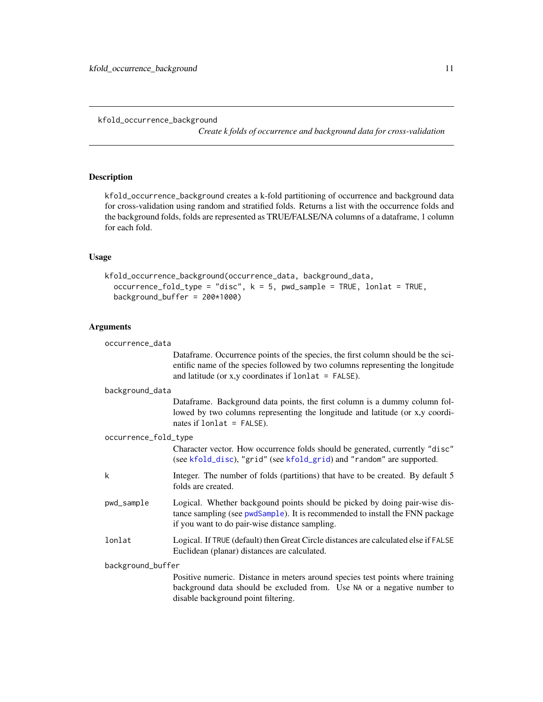*Create k folds of occurrence and background data for cross-validation*

# <span id="page-10-1"></span><span id="page-10-0"></span>Description

kfold\_occurrence\_background creates a k-fold partitioning of occurrence and background data for cross-validation using random and stratified folds. Returns a list with the occurrence folds and the background folds, folds are represented as TRUE/FALSE/NA columns of a dataframe, 1 column for each fold.

#### Usage

```
kfold_occurrence_background(occurrence_data, background_data,
  occurrence_fold_type = "disc", k = 5, pwd_sample = TRUE, lonlat = TRUE,background_buffer = 200*1000)
```
# Arguments

| occurrence_data      |                                                                                                                                                                                                                               |
|----------------------|-------------------------------------------------------------------------------------------------------------------------------------------------------------------------------------------------------------------------------|
|                      | Dataframe. Occurrence points of the species, the first column should be the sci-<br>entific name of the species followed by two columns representing the longitude<br>and latitude (or x,y coordinates if $lonlat = FALSE$ ). |
| background_data      |                                                                                                                                                                                                                               |
|                      | Dataframe. Background data points, the first column is a dummy column fol-<br>lowed by two columns representing the longitude and latitude (or x,y coordi-<br>nates if $lonlat = FALSE$ ).                                    |
| occurrence_fold_type |                                                                                                                                                                                                                               |
|                      | Character vector. How occurrence folds should be generated, currently "disc"<br>(see kfold_disc), "grid" (see kfold_grid) and "random" are supported.                                                                         |
| k                    | Integer. The number of folds (partitions) that have to be created. By default 5<br>folds are created.                                                                                                                         |
| pwd_sample           | Logical. Whether backgound points should be picked by doing pair-wise dis-<br>tance sampling (see pwdSample). It is recommended to install the FNN package<br>if you want to do pair-wise distance sampling.                  |
| lonlat               | Logical. If TRUE (default) then Great Circle distances are calculated else if FALSE<br>Euclidean (planar) distances are calculated.                                                                                           |
| background_buffer    |                                                                                                                                                                                                                               |
|                      | Positive numeric. Distance in meters around species test points where training<br>background data should be excluded from. Use NA or a negative number to<br>disable background point filtering.                              |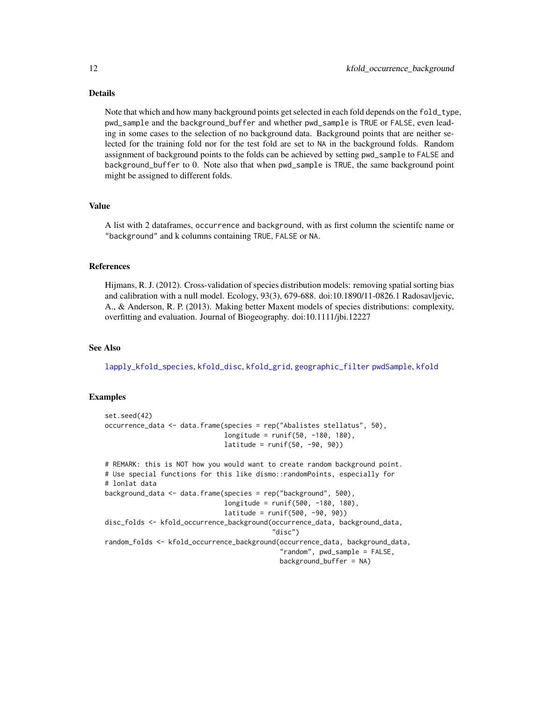#### Details

Note that which and how many background points get selected in each fold depends on the fold\_type, pwd\_sample and the background\_buffer and whether pwd\_sample is TRUE or FALSE, even leading in some cases to the selection of no background data. Background points that are neither selected for the training fold nor for the test fold are set to NA in the background folds. Random assignment of background points to the folds can be achieved by setting pwd\_sample to FALSE and background\_buffer to 0. Note also that when pwd\_sample is TRUE, the same background point might be assigned to different folds.

#### Value

A list with 2 dataframes, occurrence and background, with as first column the scientifc name or "background" and k columns containing TRUE, FALSE or NA.

#### References

Hijmans, R. J. (2012). Cross-validation of species distribution models: removing spatial sorting bias and calibration with a null model. Ecology, 93(3), 679-688. doi:10.1890/11-0826.1 Radosavljevic, A., & Anderson, R. P. (2013). Making better Maxent models of species distributions: complexity, overfitting and evaluation. Journal of Biogeography. doi:10.1111/jbi.12227

#### See Also

[lapply\\_kfold\\_species](#page-12-1), [kfold\\_disc](#page-8-1), [kfold\\_grid](#page-9-1), [geographic\\_filter](#page-1-1) [pwdSample](#page-0-0), [kfold](#page-0-0)

```
set.seed(42)
occurrence_data <- data.frame(species = rep("Abalistes stellatus", 50),
                              longitude = runif(50, -180, 180),
                              latitude = runif(50, -90, 90)# REMARK: this is NOT how you would want to create random background point.
# Use special functions for this like dismo::randomPoints, especially for
# lonlat data
background_data <- data.frame(species = rep("background", 500),
                              longitude = runif(500, -180, 180),
                              lattice = runif(500, -90, 90)disc_folds <- kfold_occurrence_background(occurrence_data, background_data,
                                          "disc")
random_folds <- kfold_occurrence_background(occurrence_data, background_data,
                                            "random", pwd_sample = FALSE,
                                            background_buffer = NA)
```
<span id="page-11-0"></span>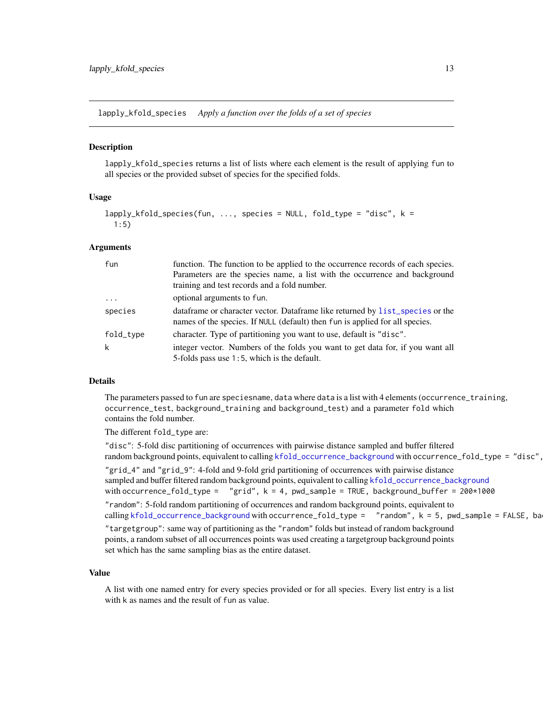<span id="page-12-1"></span><span id="page-12-0"></span>lapply\_kfold\_species *Apply a function over the folds of a set of species*

#### Description

lapply\_kfold\_species returns a list of lists where each element is the result of applying fun to all species or the provided subset of species for the specified folds.

#### Usage

```
lapply_kfold_species(fun, ..., species = NULL, fold_type = "disc", k =
 1:5)
```
#### Arguments

| fun                     | function. The function to be applied to the occurrence records of each species.<br>Parameters are the species name, a list with the occurrence and background<br>training and test records and a fold number. |
|-------------------------|---------------------------------------------------------------------------------------------------------------------------------------------------------------------------------------------------------------|
| $\cdot$ $\cdot$ $\cdot$ | optional arguments to fun.                                                                                                                                                                                    |
| species                 | data frame or character vector. Data frame like returned by list_species or the<br>names of the species. If NULL (default) then fun is applied for all species.                                               |
| fold_type               | character. Type of partitioning you want to use, default is "disc".                                                                                                                                           |
| k                       | integer vector. Numbers of the folds you want to get data for, if you want all<br>5-folds pass use 1:5, which is the default.                                                                                 |

# Details

The parameters passed to fun are speciesname, data where data is a list with 4 elements (occurrence\_training, occurrence\_test, background\_training and background\_test) and a parameter fold which contains the fold number.

#### The different fold\_type are:

"disc": 5-fold disc partitioning of occurrences with pairwise distance sampled and buffer filtered random background points, equivalent to calling [kfold\\_occurrence\\_background](#page-10-1) with occurrence\_fold\_type = "disc", "grid\_4" and "grid\_9": 4-fold and 9-fold grid partitioning of occurrences with pairwise distance sampled and buffer filtered random background points, equivalent to calling [kfold\\_occurrence\\_background](#page-10-1) with occurrence\_fold\_type =  $"grid", k = 4, pwd_sample = TRUE, background_buffer = 200*1000$ "random": 5-fold random partitioning of occurrences and random background points, equivalent to calling [kfold\\_occurrence\\_background](#page-10-1) with occurrence\_fold\_type =  $\blacksquare$  "random",  $k = 5$ , pwd\_sample = FALSE, ba "targetgroup": same way of partitioning as the "random" folds but instead of random background points, a random subset of all occurrences points was used creating a targetgroup background points set which has the same sampling bias as the entire dataset.

#### Value

A list with one named entry for every species provided or for all species. Every list entry is a list with k as names and the result of fun as value.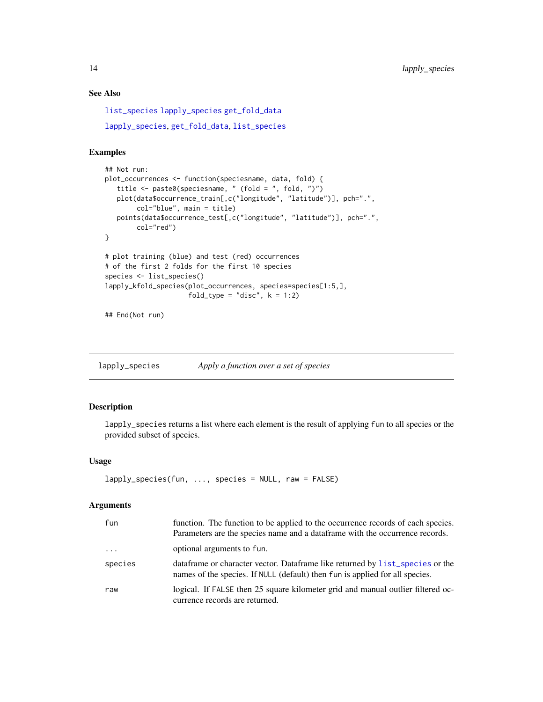# See Also

[list\\_species](#page-14-1) [lapply\\_species](#page-13-1) [get\\_fold\\_data](#page-4-1) [lapply\\_species](#page-13-1), [get\\_fold\\_data](#page-4-1), [list\\_species](#page-14-1)

#### Examples

```
## Not run:
plot_occurrences <- function(speciesname, data, fold) {
  title <- paste0(speciesname, " (fold = ", fold, ")")
   plot(data$occurrence_train[,c("longitude", "latitude")], pch=".",
       col="blue", main = title)
   points(data$occurrence_test[,c("longitude", "latitude")], pch=".",
       col="red")
}
# plot training (blue) and test (red) occurrences
# of the first 2 folds for the first 10 species
species <- list_species()
lapply_kfold_species(plot_occurrences, species=species[1:5,],
                     fold\_type = "disc", k = 1:2)
```
## End(Not run)

<span id="page-13-1"></span>lapply\_species *Apply a function over a set of species*

#### Description

lapply\_species returns a list where each element is the result of applying fun to all species or the provided subset of species.

#### Usage

```
lapply_species(fun, ..., species = NULL, raw = FALSE)
```
#### Arguments

| fun                 | function. The function to be applied to the occurrence records of each species.<br>Parameters are the species name and a data frame with the occurrence records. |
|---------------------|------------------------------------------------------------------------------------------------------------------------------------------------------------------|
| $\cdot \cdot \cdot$ | optional arguments to fun.                                                                                                                                       |
| species             | data frame or character vector. Data frame like returned by list_species or the<br>names of the species. If NULL (default) then fun is applied for all species.  |
| raw                 | logical. If FALSE then 25 square kilometer grid and manual outlier filtered oc-<br>currence records are returned.                                                |

<span id="page-13-0"></span>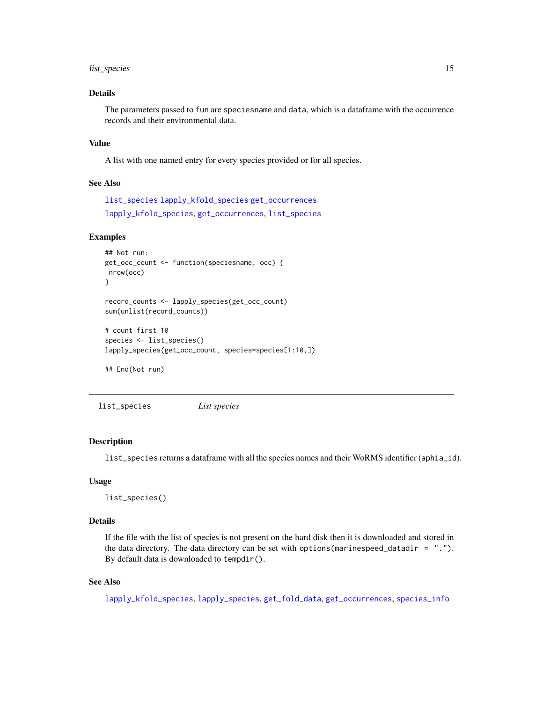# <span id="page-14-0"></span>list\_species 15

# Details

The parameters passed to fun are speciesname and data, which is a dataframe with the occurrence records and their environmental data.

### Value

A list with one named entry for every species provided or for all species.

#### See Also

[list\\_species](#page-14-1) [lapply\\_kfold\\_species](#page-12-1) [get\\_occurrences](#page-5-1) [lapply\\_kfold\\_species](#page-12-1), [get\\_occurrences](#page-5-1), [list\\_species](#page-14-1)

### Examples

```
## Not run:
get_occ_count <- function(speciesname, occ) {
nrow(occ)
}
record_counts <- lapply_species(get_occ_count)
sum(unlist(record_counts))
# count first 10
species <- list_species()
lapply_species(get_occ_count, species=species[1:10,])
## End(Not run)
```
<span id="page-14-1"></span>list\_species *List species*

#### Description

list\_species returns a dataframe with all the species names and their WoRMS identifier (aphia\_id).

#### Usage

```
list_species()
```
# Details

If the file with the list of species is not present on the hard disk then it is downloaded and stored in the data directory. The data directory can be set with options (marinespeed\_datadir =  $"$ ."). By default data is downloaded to tempdir().

### See Also

[lapply\\_kfold\\_species](#page-12-1), [lapply\\_species](#page-13-1), [get\\_fold\\_data](#page-4-1), [get\\_occurrences](#page-5-1), [species\\_info](#page-16-1)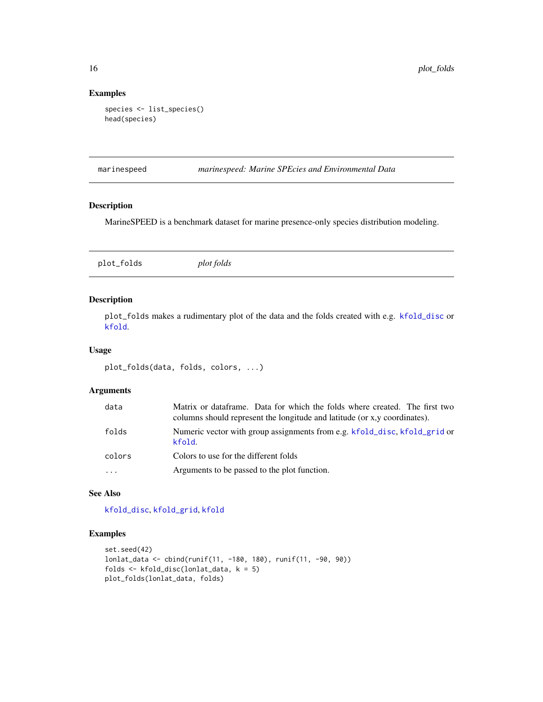# Examples

```
species <- list_species()
head(species)
```
marinespeed *marinespeed: Marine SPEcies and Environmental Data*

#### Description

MarineSPEED is a benchmark dataset for marine presence-only species distribution modeling.

<span id="page-15-1"></span>plot\_folds *plot folds*

#### Description

plot\_folds makes a rudimentary plot of the data and the folds created with e.g. [kfold\\_disc](#page-8-1) or [kfold](#page-0-0).

# Usage

```
plot_folds(data, folds, colors, ...)
```
# Arguments

| data     | Matrix or dataframe. Data for which the folds where created. The first two<br>columns should represent the longitude and latitude (or x,y coordinates). |
|----------|---------------------------------------------------------------------------------------------------------------------------------------------------------|
| folds    | Numeric vector with group assignments from e.g. kfold_disc, kfold_grid or<br>kfold.                                                                     |
| colors   | Colors to use for the different folds                                                                                                                   |
| $\cdots$ | Arguments to be passed to the plot function.                                                                                                            |

# See Also

[kfold\\_disc](#page-8-1), [kfold\\_grid](#page-9-1), [kfold](#page-0-0)

```
set.seed(42)
lonlat_data <- cbind(runif(11, -180, 180), runif(11, -90, 90))
folds <- kfold_disc(lonlat_data, k = 5)
plot_folds(lonlat_data, folds)
```
<span id="page-15-0"></span>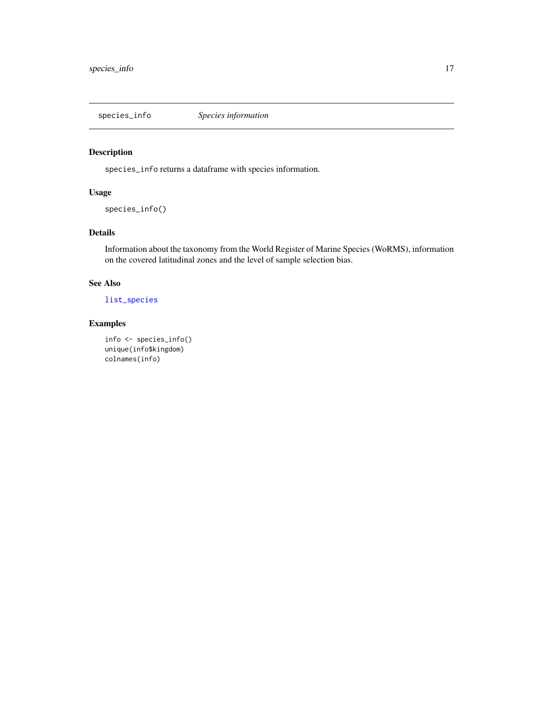<span id="page-16-1"></span><span id="page-16-0"></span>

# Description

species\_info returns a dataframe with species information.

# Usage

```
species_info()
```
# Details

Information about the taxonomy from the World Register of Marine Species (WoRMS), information on the covered latitudinal zones and the level of sample selection bias.

# See Also

#### [list\\_species](#page-14-1)

```
info <- species_info()
unique(info$kingdom)
colnames(info)
```